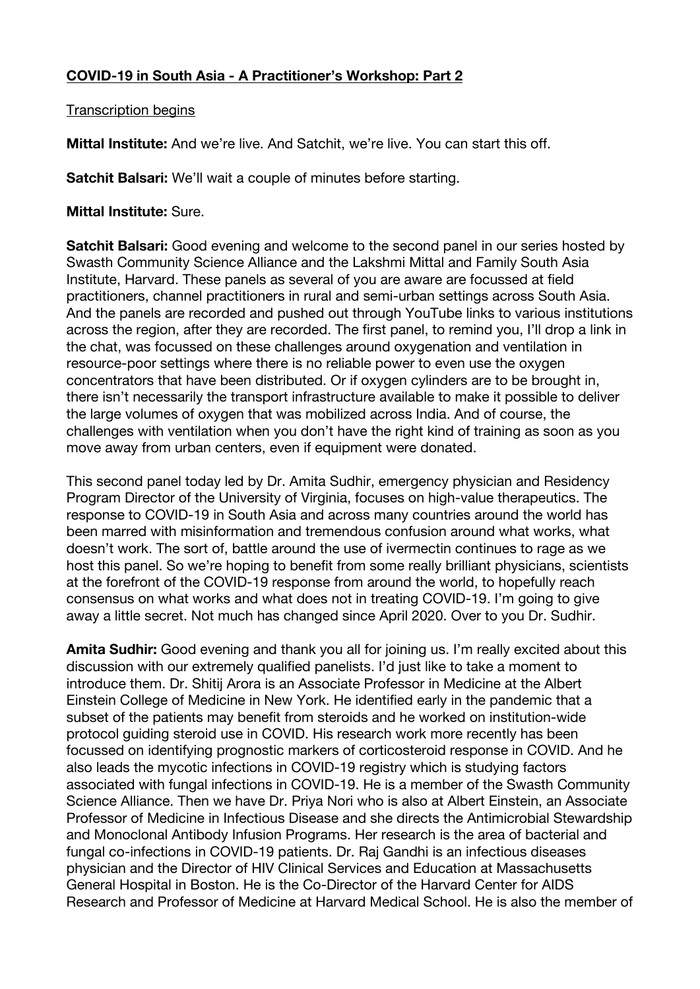## **COVID-19 in South Asia - A Practitioner's Workshop: Part 2**

Transcription begins

**Mittal Institute:** And we're live. And Satchit, we're live. You can start this off.

**Satchit Balsari:** We'll wait a couple of minutes before starting.

## **Mittal Institute:** Sure.

**Satchit Balsari:** Good evening and welcome to the second panel in our series hosted by Swasth Community Science Alliance and the Lakshmi Mittal and Family South Asia Institute, Harvard. These panels as several of you are aware are focussed at field practitioners, channel practitioners in rural and semi-urban settings across South Asia. And the panels are recorded and pushed out through YouTube links to various institutions across the region, after they are recorded. The first panel, to remind you, I'll drop a link in the chat, was focussed on these challenges around oxygenation and ventilation in resource-poor settings where there is no reliable power to even use the oxygen concentrators that have been distributed. Or if oxygen cylinders are to be brought in, there isn't necessarily the transport infrastructure available to make it possible to deliver the large volumes of oxygen that was mobilized across India. And of course, the challenges with ventilation when you don't have the right kind of training as soon as you move away from urban centers, even if equipment were donated.

This second panel today led by Dr. Amita Sudhir, emergency physician and Residency Program Director of the University of Virginia, focuses on high-value therapeutics. The response to COVID-19 in South Asia and across many countries around the world has been marred with misinformation and tremendous confusion around what works, what doesn't work. The sort of, battle around the use of ivermectin continues to rage as we host this panel. So we're hoping to benefit from some really brilliant physicians, scientists at the forefront of the COVID-19 response from around the world, to hopefully reach consensus on what works and what does not in treating COVID-19. I'm going to give away a little secret. Not much has changed since April 2020. Over to you Dr. Sudhir.

**Amita Sudhir:** Good evening and thank you all for joining us. I'm really excited about this discussion with our extremely qualified panelists. I'd just like to take a moment to introduce them. Dr. Shitij Arora is an Associate Professor in Medicine at the Albert Einstein College of Medicine in New York. He identified early in the pandemic that a subset of the patients may benefit from steroids and he worked on institution-wide protocol guiding steroid use in COVID. His research work more recently has been focussed on identifying prognostic markers of corticosteroid response in COVID. And he also leads the mycotic infections in COVID-19 registry which is studying factors associated with fungal infections in COVID-19. He is a member of the Swasth Community Science Alliance. Then we have Dr. Priya Nori who is also at Albert Einstein, an Associate Professor of Medicine in Infectious Disease and she directs the Antimicrobial Stewardship and Monoclonal Antibody Infusion Programs. Her research is the area of bacterial and fungal co-infections in COVID-19 patients. Dr. Raj Gandhi is an infectious diseases physician and the Director of HIV Clinical Services and Education at Massachusetts General Hospital in Boston. He is the Co-Director of the Harvard Center for AIDS Research and Professor of Medicine at Harvard Medical School. He is also the member of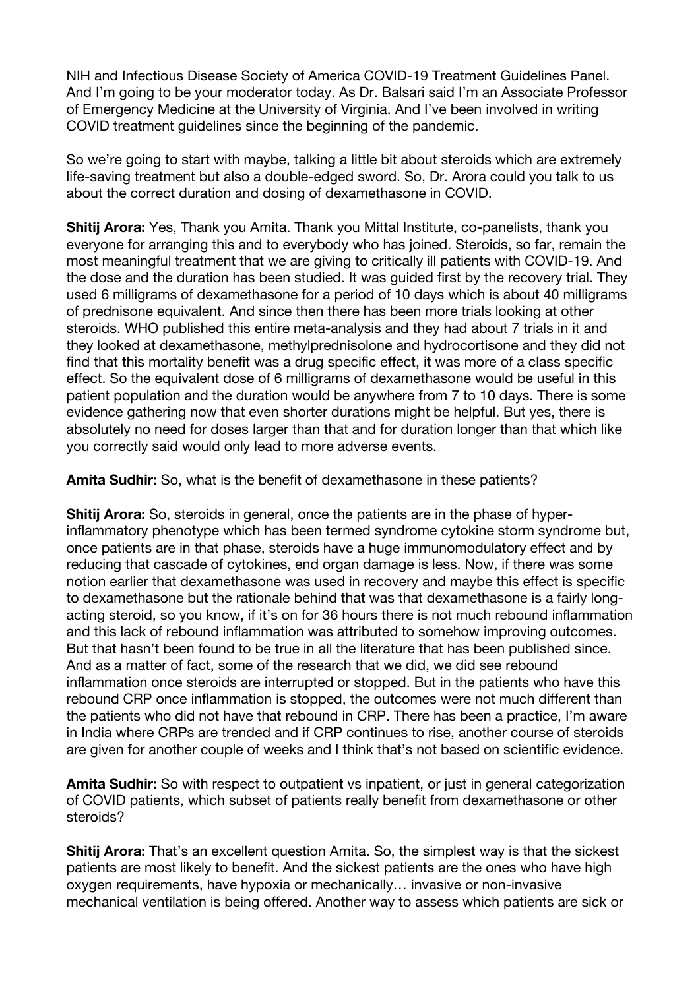NIH and Infectious Disease Society of America COVID-19 Treatment Guidelines Panel. And I'm going to be your moderator today. As Dr. Balsari said I'm an Associate Professor of Emergency Medicine at the University of Virginia. And I've been involved in writing COVID treatment guidelines since the beginning of the pandemic.

So we're going to start with maybe, talking a little bit about steroids which are extremely life-saving treatment but also a double-edged sword. So, Dr. Arora could you talk to us about the correct duration and dosing of dexamethasone in COVID.

**Shitij Arora:** Yes, Thank you Amita. Thank you Mittal Institute, co-panelists, thank you everyone for arranging this and to everybody who has joined. Steroids, so far, remain the most meaningful treatment that we are giving to critically ill patients with COVID-19. And the dose and the duration has been studied. It was guided first by the recovery trial. They used 6 milligrams of dexamethasone for a period of 10 days which is about 40 milligrams of prednisone equivalent. And since then there has been more trials looking at other steroids. WHO published this entire meta-analysis and they had about 7 trials in it and they looked at dexamethasone, methylprednisolone and hydrocortisone and they did not find that this mortality benefit was a drug specific effect, it was more of a class specific effect. So the equivalent dose of 6 milligrams of dexamethasone would be useful in this patient population and the duration would be anywhere from 7 to 10 days. There is some evidence gathering now that even shorter durations might be helpful. But yes, there is absolutely no need for doses larger than that and for duration longer than that which like you correctly said would only lead to more adverse events.

**Amita Sudhir:** So, what is the benefit of dexamethasone in these patients?

**Shitij Arora:** So, steroids in general, once the patients are in the phase of hyperinflammatory phenotype which has been termed syndrome cytokine storm syndrome but, once patients are in that phase, steroids have a huge immunomodulatory effect and by reducing that cascade of cytokines, end organ damage is less. Now, if there was some notion earlier that dexamethasone was used in recovery and maybe this effect is specific to dexamethasone but the rationale behind that was that dexamethasone is a fairly longacting steroid, so you know, if it's on for 36 hours there is not much rebound inflammation and this lack of rebound inflammation was attributed to somehow improving outcomes. But that hasn't been found to be true in all the literature that has been published since. And as a matter of fact, some of the research that we did, we did see rebound inflammation once steroids are interrupted or stopped. But in the patients who have this rebound CRP once inflammation is stopped, the outcomes were not much different than the patients who did not have that rebound in CRP. There has been a practice, I'm aware in India where CRPs are trended and if CRP continues to rise, another course of steroids are given for another couple of weeks and I think that's not based on scientific evidence.

**Amita Sudhir:** So with respect to outpatient vs inpatient, or just in general categorization of COVID patients, which subset of patients really benefit from dexamethasone or other steroids?

**Shitij Arora:** That's an excellent question Amita. So, the simplest way is that the sickest patients are most likely to benefit. And the sickest patients are the ones who have high oxygen requirements, have hypoxia or mechanically… invasive or non-invasive mechanical ventilation is being offered. Another way to assess which patients are sick or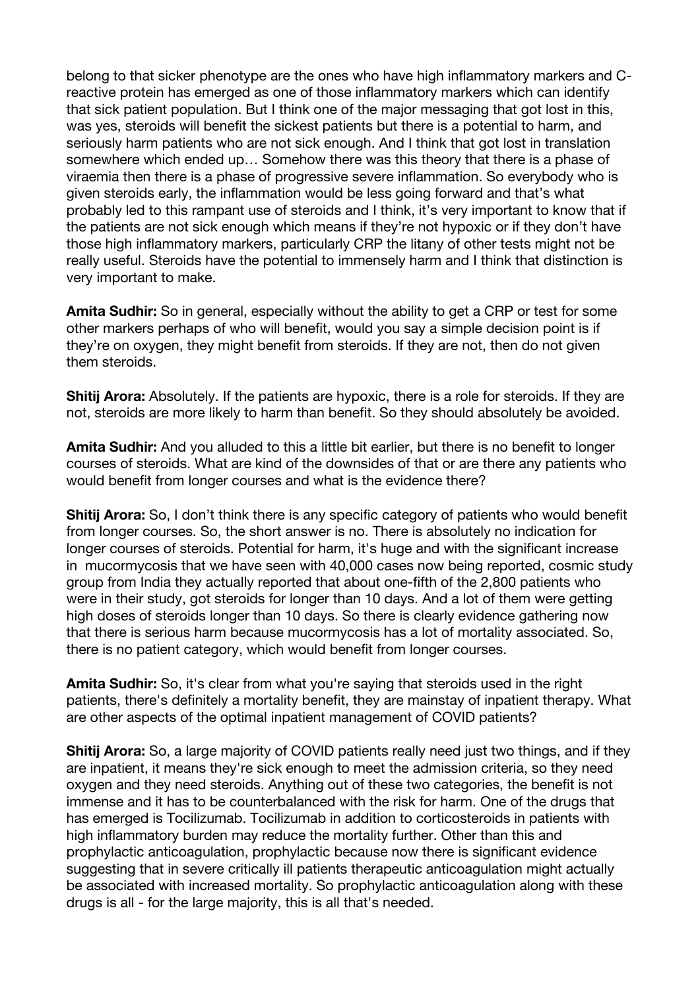belong to that sicker phenotype are the ones who have high inflammatory markers and Creactive protein has emerged as one of those inflammatory markers which can identify that sick patient population. But I think one of the major messaging that got lost in this, was yes, steroids will benefit the sickest patients but there is a potential to harm, and seriously harm patients who are not sick enough. And I think that got lost in translation somewhere which ended up… Somehow there was this theory that there is a phase of viraemia then there is a phase of progressive severe inflammation. So everybody who is given steroids early, the inflammation would be less going forward and that's what probably led to this rampant use of steroids and I think, it's very important to know that if the patients are not sick enough which means if they're not hypoxic or if they don't have those high inflammatory markers, particularly CRP the litany of other tests might not be really useful. Steroids have the potential to immensely harm and I think that distinction is very important to make.

**Amita Sudhir:** So in general, especially without the ability to get a CRP or test for some other markers perhaps of who will benefit, would you say a simple decision point is if they're on oxygen, they might benefit from steroids. If they are not, then do not given them steroids.

**Shitij Arora:** Absolutely. If the patients are hypoxic, there is a role for steroids. If they are not, steroids are more likely to harm than benefit. So they should absolutely be avoided.

**Amita Sudhir:** And you alluded to this a little bit earlier, but there is no benefit to longer courses of steroids. What are kind of the downsides of that or are there any patients who would benefit from longer courses and what is the evidence there?

**Shitij Arora:** So, I don't think there is any specific category of patients who would benefit from longer courses. So, the short answer is no. There is absolutely no indication for longer courses of steroids. Potential for harm, it's huge and with the significant increase in mucormycosis that we have seen with 40,000 cases now being reported, cosmic study group from India they actually reported that about one-fifth of the 2,800 patients who were in their study, got steroids for longer than 10 days. And a lot of them were getting high doses of steroids longer than 10 days. So there is clearly evidence gathering now that there is serious harm because mucormycosis has a lot of mortality associated. So, there is no patient category, which would benefit from longer courses.

**Amita Sudhir:** So, it's clear from what you're saying that steroids used in the right patients, there's definitely a mortality benefit, they are mainstay of inpatient therapy. What are other aspects of the optimal inpatient management of COVID patients?

**Shitij Arora:** So, a large majority of COVID patients really need just two things, and if they are inpatient, it means they're sick enough to meet the admission criteria, so they need oxygen and they need steroids. Anything out of these two categories, the benefit is not immense and it has to be counterbalanced with the risk for harm. One of the drugs that has emerged is Tocilizumab. Tocilizumab in addition to corticosteroids in patients with high inflammatory burden may reduce the mortality further. Other than this and prophylactic anticoagulation, prophylactic because now there is significant evidence suggesting that in severe critically ill patients therapeutic anticoagulation might actually be associated with increased mortality. So prophylactic anticoagulation along with these drugs is all - for the large majority, this is all that's needed.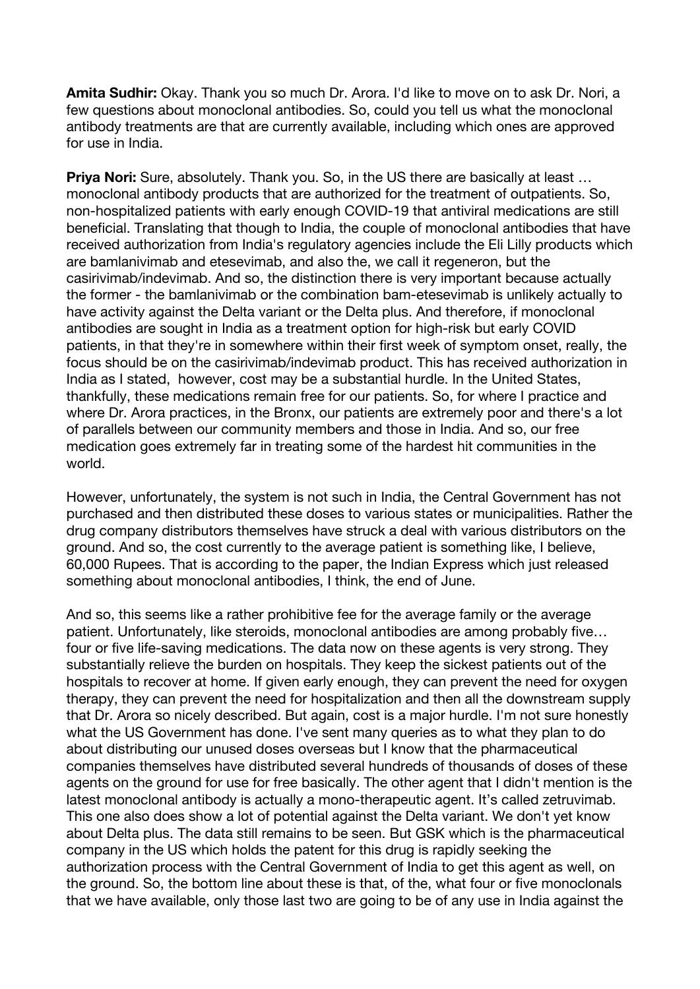**Amita Sudhir:** Okay. Thank you so much Dr. Arora. I'd like to move on to ask Dr. Nori, a few questions about monoclonal antibodies. So, could you tell us what the monoclonal antibody treatments are that are currently available, including which ones are approved for use in India.

**Priya Nori:** Sure, absolutely. Thank you. So, in the US there are basically at least ... monoclonal antibody products that are authorized for the treatment of outpatients. So, non-hospitalized patients with early enough COVID-19 that antiviral medications are still beneficial. Translating that though to India, the couple of monoclonal antibodies that have received authorization from India's regulatory agencies include the Eli Lilly products which are bamlanivimab and etesevimab, and also the, we call it regeneron, but the casirivimab/indevimab. And so, the distinction there is very important because actually the former - the bamlanivimab or the combination bam-etesevimab is unlikely actually to have activity against the Delta variant or the Delta plus. And therefore, if monoclonal antibodies are sought in India as a treatment option for high-risk but early COVID patients, in that they're in somewhere within their first week of symptom onset, really, the focus should be on the casirivimab/indevimab product. This has received authorization in India as I stated, however, cost may be a substantial hurdle. In the United States, thankfully, these medications remain free for our patients. So, for where I practice and where Dr. Arora practices, in the Bronx, our patients are extremely poor and there's a lot of parallels between our community members and those in India. And so, our free medication goes extremely far in treating some of the hardest hit communities in the world.

However, unfortunately, the system is not such in India, the Central Government has not purchased and then distributed these doses to various states or municipalities. Rather the drug company distributors themselves have struck a deal with various distributors on the ground. And so, the cost currently to the average patient is something like, I believe, 60,000 Rupees. That is according to the paper, the Indian Express which just released something about monoclonal antibodies, I think, the end of June.

And so, this seems like a rather prohibitive fee for the average family or the average patient. Unfortunately, like steroids, monoclonal antibodies are among probably five… four or five life-saving medications. The data now on these agents is very strong. They substantially relieve the burden on hospitals. They keep the sickest patients out of the hospitals to recover at home. If given early enough, they can prevent the need for oxygen therapy, they can prevent the need for hospitalization and then all the downstream supply that Dr. Arora so nicely described. But again, cost is a major hurdle. I'm not sure honestly what the US Government has done. I've sent many queries as to what they plan to do about distributing our unused doses overseas but I know that the pharmaceutical companies themselves have distributed several hundreds of thousands of doses of these agents on the ground for use for free basically. The other agent that I didn't mention is the latest monoclonal antibody is actually a mono-therapeutic agent. It's called zetruvimab. This one also does show a lot of potential against the Delta variant. We don't yet know about Delta plus. The data still remains to be seen. But GSK which is the pharmaceutical company in the US which holds the patent for this drug is rapidly seeking the authorization process with the Central Government of India to get this agent as well, on the ground. So, the bottom line about these is that, of the, what four or five monoclonals that we have available, only those last two are going to be of any use in India against the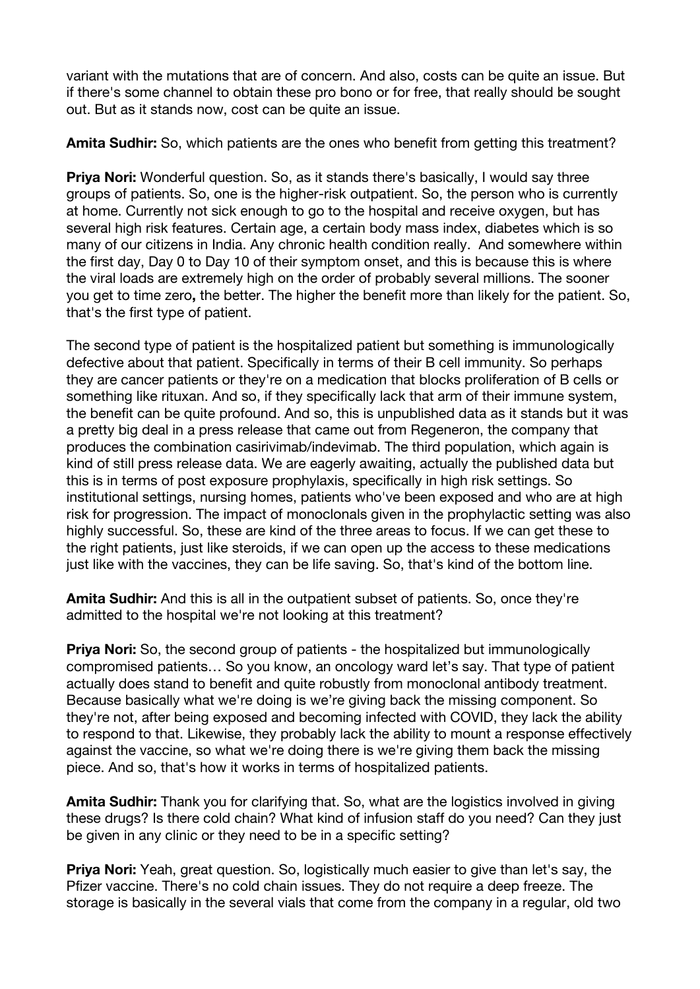variant with the mutations that are of concern. And also, costs can be quite an issue. But if there's some channel to obtain these pro bono or for free, that really should be sought out. But as it stands now, cost can be quite an issue.

**Amita Sudhir:** So, which patients are the ones who benefit from getting this treatment?

**Priya Nori:** Wonderful question. So, as it stands there's basically, I would say three groups of patients. So, one is the higher-risk outpatient. So, the person who is currently at home. Currently not sick enough to go to the hospital and receive oxygen, but has several high risk features. Certain age, a certain body mass index, diabetes which is so many of our citizens in India. Any chronic health condition really. And somewhere within the first day, Day 0 to Day 10 of their symptom onset, and this is because this is where the viral loads are extremely high on the order of probably several millions. The sooner you get to time zero**,** the better. The higher the benefit more than likely for the patient. So, that's the first type of patient.

The second type of patient is the hospitalized patient but something is immunologically defective about that patient. Specifically in terms of their B cell immunity. So perhaps they are cancer patients or they're on a medication that blocks proliferation of B cells or something like rituxan. And so, if they specifically lack that arm of their immune system, the benefit can be quite profound. And so, this is unpublished data as it stands but it was a pretty big deal in a press release that came out from Regeneron, the company that produces the combination casirivimab/indevimab. The third population, which again is kind of still press release data. We are eagerly awaiting, actually the published data but this is in terms of post exposure prophylaxis, specifically in high risk settings. So institutional settings, nursing homes, patients who've been exposed and who are at high risk for progression. The impact of monoclonals given in the prophylactic setting was also highly successful. So, these are kind of the three areas to focus. If we can get these to the right patients, just like steroids, if we can open up the access to these medications just like with the vaccines, they can be life saving. So, that's kind of the bottom line.

**Amita Sudhir:** And this is all in the outpatient subset of patients. So, once they're admitted to the hospital we're not looking at this treatment?

**Priya Nori:** So, the second group of patients - the hospitalized but immunologically compromised patients… So you know, an oncology ward let's say. That type of patient actually does stand to benefit and quite robustly from monoclonal antibody treatment. Because basically what we're doing is we're giving back the missing component. So they're not, after being exposed and becoming infected with COVID, they lack the ability to respond to that. Likewise, they probably lack the ability to mount a response effectively against the vaccine, so what we're doing there is we're giving them back the missing piece. And so, that's how it works in terms of hospitalized patients.

**Amita Sudhir:** Thank you for clarifying that. So, what are the logistics involved in giving these drugs? Is there cold chain? What kind of infusion staff do you need? Can they just be given in any clinic or they need to be in a specific setting?

**Priya Nori:** Yeah, great question. So, logistically much easier to give than let's say, the Pfizer vaccine. There's no cold chain issues. They do not require a deep freeze. The storage is basically in the several vials that come from the company in a regular, old two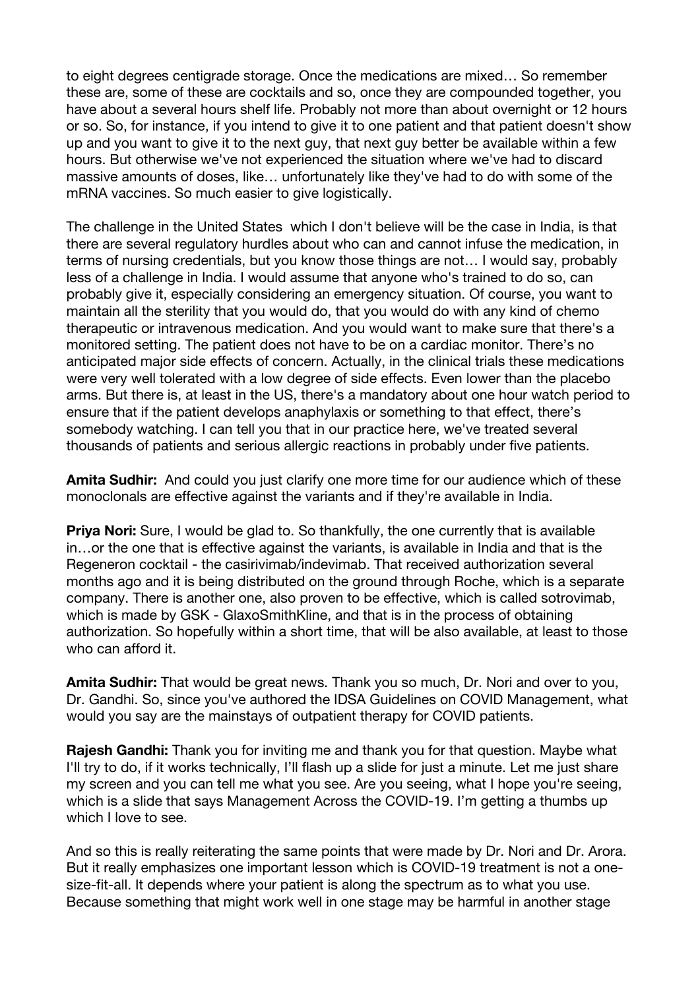to eight degrees centigrade storage. Once the medications are mixed… So remember these are, some of these are cocktails and so, once they are compounded together, you have about a several hours shelf life. Probably not more than about overnight or 12 hours or so. So, for instance, if you intend to give it to one patient and that patient doesn't show up and you want to give it to the next guy, that next guy better be available within a few hours. But otherwise we've not experienced the situation where we've had to discard massive amounts of doses, like… unfortunately like they've had to do with some of the mRNA vaccines. So much easier to give logistically.

The challenge in the United States which I don't believe will be the case in India, is that there are several regulatory hurdles about who can and cannot infuse the medication, in terms of nursing credentials, but you know those things are not… I would say, probably less of a challenge in India. I would assume that anyone who's trained to do so, can probably give it, especially considering an emergency situation. Of course, you want to maintain all the sterility that you would do, that you would do with any kind of chemo therapeutic or intravenous medication. And you would want to make sure that there's a monitored setting. The patient does not have to be on a cardiac monitor. There's no anticipated major side effects of concern. Actually, in the clinical trials these medications were very well tolerated with a low degree of side effects. Even lower than the placebo arms. But there is, at least in the US, there's a mandatory about one hour watch period to ensure that if the patient develops anaphylaxis or something to that effect, there's somebody watching. I can tell you that in our practice here, we've treated several thousands of patients and serious allergic reactions in probably under five patients.

**Amita Sudhir:** And could you just clarify one more time for our audience which of these monoclonals are effective against the variants and if they're available in India.

**Priya Nori:** Sure, I would be glad to. So thankfully, the one currently that is available in…or the one that is effective against the variants, is available in India and that is the Regeneron cocktail - the casirivimab/indevimab. That received authorization several months ago and it is being distributed on the ground through Roche, which is a separate company. There is another one, also proven to be effective, which is called sotrovimab, which is made by GSK - GlaxoSmithKline, and that is in the process of obtaining authorization. So hopefully within a short time, that will be also available, at least to those who can afford it.

**Amita Sudhir:** That would be great news. Thank you so much, Dr. Nori and over to you, Dr. Gandhi. So, since you've authored the IDSA Guidelines on COVID Management, what would you say are the mainstays of outpatient therapy for COVID patients.

**Rajesh Gandhi:** Thank you for inviting me and thank you for that question. Maybe what I'll try to do, if it works technically, I'll flash up a slide for just a minute. Let me just share my screen and you can tell me what you see. Are you seeing, what I hope you're seeing, which is a slide that says Management Across the COVID-19. I'm getting a thumbs up which I love to see.

And so this is really reiterating the same points that were made by Dr. Nori and Dr. Arora. But it really emphasizes one important lesson which is COVID-19 treatment is not a onesize-fit-all. It depends where your patient is along the spectrum as to what you use. Because something that might work well in one stage may be harmful in another stage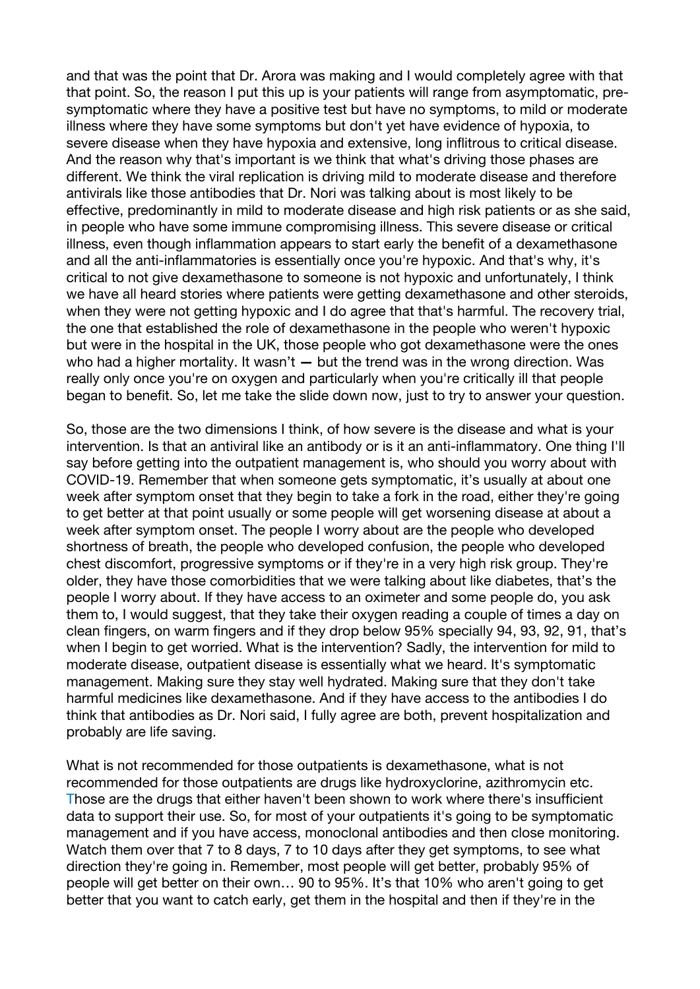and that was the point that Dr. Arora was making and I would completely agree with that that point. So, the reason I put this up is your patients will range from asymptomatic, presymptomatic where they have a positive test but have no symptoms, to mild or moderate illness where they have some symptoms but don't yet have evidence of hypoxia, to severe disease when they have hypoxia and extensive, long inflitrous to critical disease. And the reason why that's important is we think that what's driving those phases are different. We think the viral replication is driving mild to moderate disease and therefore antivirals like those antibodies that Dr. Nori was talking about is most likely to be effective, predominantly in mild to moderate disease and high risk patients or as she said, in people who have some immune compromising illness. This severe disease or critical illness, even though inflammation appears to start early the benefit of a dexamethasone and all the anti-inflammatories is essentially once you're hypoxic. And that's why, it's critical to not give dexamethasone to someone is not hypoxic and unfortunately, I think we have all heard stories where patients were getting dexamethasone and other steroids, when they were not getting hypoxic and I do agree that that's harmful. The recovery trial, the one that established the role of dexamethasone in the people who weren't hypoxic but were in the hospital in the UK, those people who got dexamethasone were the ones who had a higher mortality. It wasn't **—** but the trend was in the wrong direction. Was really only once you're on oxygen and particularly when you're critically ill that people began to benefit. So, let me take the slide down now, just to try to answer your question.

So, those are the two dimensions I think, of how severe is the disease and what is your intervention. Is that an antiviral like an antibody or is it an anti-inflammatory. One thing I'll say before getting into the outpatient management is, who should you worry about with COVID-19. Remember that when someone gets symptomatic, it's usually at about one week after symptom onset that they begin to take a fork in the road, either they're going to get better at that point usually or some people will get worsening disease at about a week after symptom onset. The people I worry about are the people who developed shortness of breath, the people who developed confusion, the people who developed chest discomfort, progressive symptoms or if they're in a very high risk group. They're older, they have those comorbidities that we were talking about like diabetes, that's the people I worry about. If they have access to an oximeter and some people do, you ask them to, I would suggest, that they take their oxygen reading a couple of times a day on clean fingers, on warm fingers and if they drop below 95% specially 94, 93, 92, 91, that's when I begin to get worried. What is the intervention? Sadly, the intervention for mild to moderate disease, outpatient disease is essentially what we heard. It's symptomatic management. Making sure they stay well hydrated. Making sure that they don't take harmful medicines like dexamethasone. And if they have access to the antibodies I do think that antibodies as Dr. Nori said, I fully agree are both, prevent hospitalization and probably are life saving.

What is not recommended for those outpatients is dexamethasone, what is not recommended for those outpatients are drugs like hydroxyclorine, azithromycin etc. Those are the drugs that either haven't been shown to work where there's insufficient data to support their use. So, for most of your outpatients it's going to be symptomatic management and if you have access, monoclonal antibodies and then close monitoring. Watch them over that 7 to 8 days, 7 to 10 days after they get symptoms, to see what direction they're going in. Remember, most people will get better, probably 95% of people will get better on their own… 90 to 95%. It's that 10% who aren't going to get better that you want to catch early, get them in the hospital and then if they're in the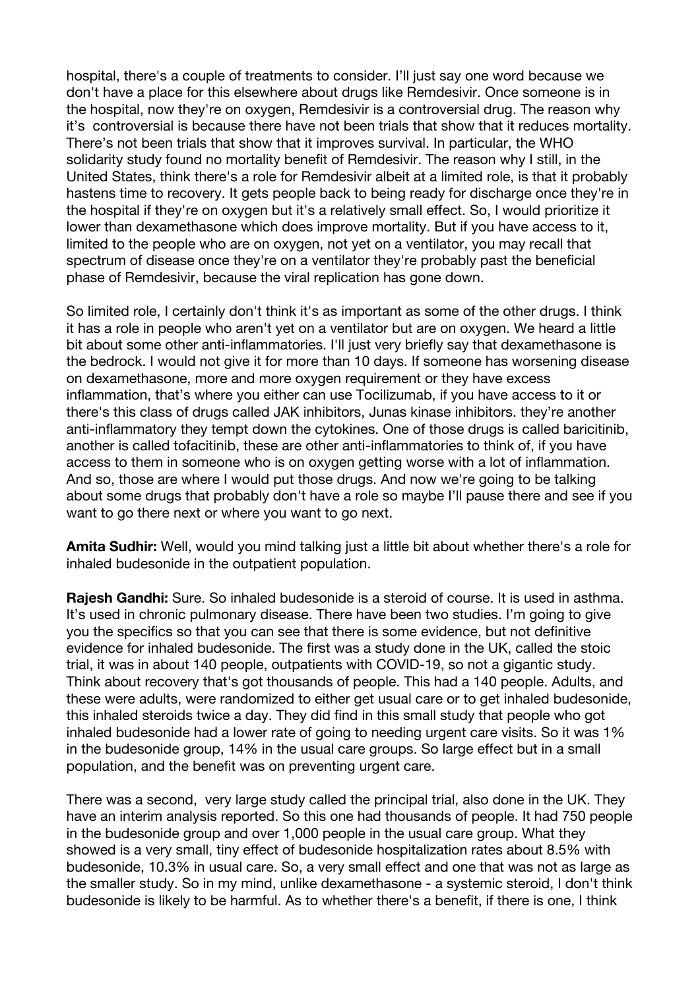hospital, there's a couple of treatments to consider. I'll just say one word because we don't have a place for this elsewhere about drugs like Remdesivir. Once someone is in the hospital, now they're on oxygen, Remdesivir is a controversial drug. The reason why it's controversial is because there have not been trials that show that it reduces mortality. There's not been trials that show that it improves survival. In particular, the WHO solidarity study found no mortality benefit of Remdesivir. The reason why I still, in the United States, think there's a role for Remdesivir albeit at a limited role, is that it probably hastens time to recovery. It gets people back to being ready for discharge once they're in the hospital if they're on oxygen but it's a relatively small effect. So, I would prioritize it lower than dexamethasone which does improve mortality. But if you have access to it, limited to the people who are on oxygen, not yet on a ventilator, you may recall that spectrum of disease once they're on a ventilator they're probably past the beneficial phase of Remdesivir, because the viral replication has gone down.

So limited role, I certainly don't think it's as important as some of the other drugs. I think it has a role in people who aren't yet on a ventilator but are on oxygen. We heard a little bit about some other anti-inflammatories. I'll just very briefly say that dexamethasone is the bedrock. I would not give it for more than 10 days. If someone has worsening disease on dexamethasone, more and more oxygen requirement or they have excess inflammation, that's where you either can use Tocilizumab, if you have access to it or there's this class of drugs called JAK inhibitors, Junas kinase inhibitors. they're another anti-inflammatory they tempt down the cytokines. One of those drugs is called baricitinib, another is called tofacitinib, these are other anti-inflammatories to think of, if you have access to them in someone who is on oxygen getting worse with a lot of inflammation. And so, those are where I would put those drugs. And now we're going to be talking about some drugs that probably don't have a role so maybe I'll pause there and see if you want to go there next or where you want to go next.

**Amita Sudhir:** Well, would you mind talking just a little bit about whether there's a role for inhaled budesonide in the outpatient population.

**Rajesh Gandhi:** Sure. So inhaled budesonide is a steroid of course. It is used in asthma. It's used in chronic pulmonary disease. There have been two studies. I'm going to give you the specifics so that you can see that there is some evidence, but not definitive evidence for inhaled budesonide. The first was a study done in the UK, called the stoic trial, it was in about 140 people, outpatients with COVID-19, so not a gigantic study. Think about recovery that's got thousands of people. This had a 140 people. Adults, and these were adults, were randomized to either get usual care or to get inhaled budesonide, this inhaled steroids twice a day. They did find in this small study that people who got inhaled budesonide had a lower rate of going to needing urgent care visits. So it was 1% in the budesonide group, 14% in the usual care groups. So large effect but in a small population, and the benefit was on preventing urgent care.

There was a second, very large study called the principal trial, also done in the UK. They have an interim analysis reported. So this one had thousands of people. It had 750 people in the budesonide group and over 1,000 people in the usual care group. What they showed is a very small, tiny effect of budesonide hospitalization rates about 8.5% with budesonide, 10.3% in usual care. So, a very small effect and one that was not as large as the smaller study. So in my mind, unlike dexamethasone - a systemic steroid, I don't think budesonide is likely to be harmful. As to whether there's a benefit, if there is one, I think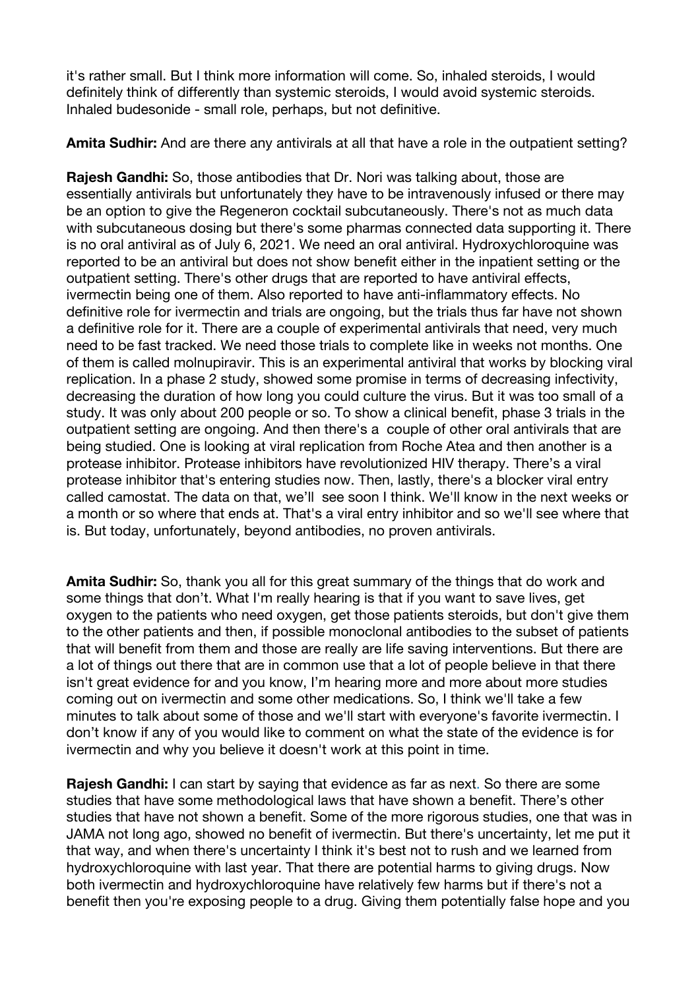it's rather small. But I think more information will come. So, inhaled steroids, I would definitely think of differently than systemic steroids, I would avoid systemic steroids. Inhaled budesonide - small role, perhaps, but not definitive.

**Amita Sudhir:** And are there any antivirals at all that have a role in the outpatient setting?

**Rajesh Gandhi:** So, those antibodies that Dr. Nori was talking about, those are essentially antivirals but unfortunately they have to be intravenously infused or there may be an option to give the Regeneron cocktail subcutaneously. There's not as much data with subcutaneous dosing but there's some pharmas connected data supporting it. There is no oral antiviral as of July 6, 2021. We need an oral antiviral. Hydroxychloroquine was reported to be an antiviral but does not show benefit either in the inpatient setting or the outpatient setting. There's other drugs that are reported to have antiviral effects, ivermectin being one of them. Also reported to have anti-inflammatory effects. No definitive role for ivermectin and trials are ongoing, but the trials thus far have not shown a definitive role for it. There are a couple of experimental antivirals that need, very much need to be fast tracked. We need those trials to complete like in weeks not months. One of them is called molnupiravir. This is an experimental antiviral that works by blocking viral replication. In a phase 2 study, showed some promise in terms of decreasing infectivity, decreasing the duration of how long you could culture the virus. But it was too small of a study. It was only about 200 people or so. To show a clinical benefit, phase 3 trials in the outpatient setting are ongoing. And then there's a couple of other oral antivirals that are being studied. One is looking at viral replication from Roche Atea and then another is a protease inhibitor. Protease inhibitors have revolutionized HIV therapy. There's a viral protease inhibitor that's entering studies now. Then, lastly, there's a blocker viral entry called camostat. The data on that, we'll see soon I think. We'll know in the next weeks or a month or so where that ends at. That's a viral entry inhibitor and so we'll see where that is. But today, unfortunately, beyond antibodies, no proven antivirals.

**Amita Sudhir:** So, thank you all for this great summary of the things that do work and some things that don't. What I'm really hearing is that if you want to save lives, get oxygen to the patients who need oxygen, get those patients steroids, but don't give them to the other patients and then, if possible monoclonal antibodies to the subset of patients that will benefit from them and those are really are life saving interventions. But there are a lot of things out there that are in common use that a lot of people believe in that there isn't great evidence for and you know, I'm hearing more and more about more studies coming out on ivermectin and some other medications. So, I think we'll take a few minutes to talk about some of those and we'll start with everyone's favorite ivermectin. I don't know if any of you would like to comment on what the state of the evidence is for ivermectin and why you believe it doesn't work at this point in time.

**Rajesh Gandhi:** I can start by saying that evidence as far as next. So there are some studies that have some methodological laws that have shown a benefit. There's other studies that have not shown a benefit. Some of the more rigorous studies, one that was in JAMA not long ago, showed no benefit of ivermectin. But there's uncertainty, let me put it that way, and when there's uncertainty I think it's best not to rush and we learned from hydroxychloroquine with last year. That there are potential harms to giving drugs. Now both ivermectin and hydroxychloroquine have relatively few harms but if there's not a benefit then you're exposing people to a drug. Giving them potentially false hope and you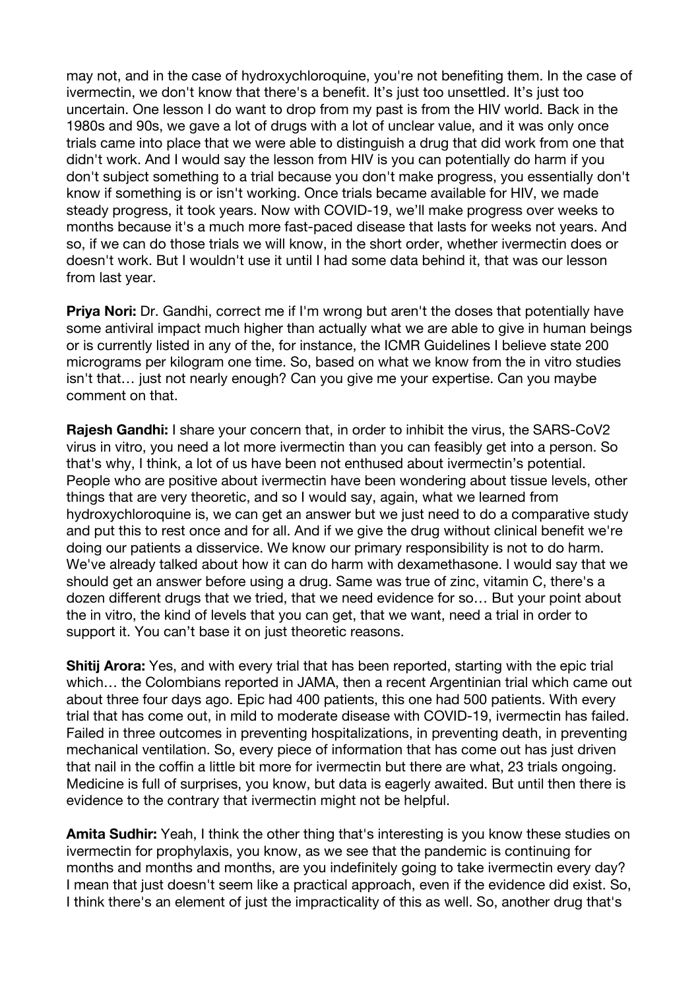may not, and in the case of hydroxychloroquine, you're not benefiting them. In the case of ivermectin, we don't know that there's a benefit. It's just too unsettled. It's just too uncertain. One lesson I do want to drop from my past is from the HIV world. Back in the 1980s and 90s, we gave a lot of drugs with a lot of unclear value, and it was only once trials came into place that we were able to distinguish a drug that did work from one that didn't work. And I would say the lesson from HIV is you can potentially do harm if you don't subject something to a trial because you don't make progress, you essentially don't know if something is or isn't working. Once trials became available for HIV, we made steady progress, it took years. Now with COVID-19, we'll make progress over weeks to months because it's a much more fast-paced disease that lasts for weeks not years. And so, if we can do those trials we will know, in the short order, whether ivermectin does or doesn't work. But I wouldn't use it until I had some data behind it, that was our lesson from last year.

**Priya Nori:** Dr. Gandhi, correct me if I'm wrong but aren't the doses that potentially have some antiviral impact much higher than actually what we are able to give in human beings or is currently listed in any of the, for instance, the ICMR Guidelines I believe state 200 micrograms per kilogram one time. So, based on what we know from the in vitro studies isn't that… just not nearly enough? Can you give me your expertise. Can you maybe comment on that.

**Rajesh Gandhi:** I share your concern that, in order to inhibit the virus, the SARS-CoV2 virus in vitro, you need a lot more ivermectin than you can feasibly get into a person. So that's why, I think, a lot of us have been not enthused about ivermectin's potential. People who are positive about ivermectin have been wondering about tissue levels, other things that are very theoretic, and so I would say, again, what we learned from hydroxychloroquine is, we can get an answer but we just need to do a comparative study and put this to rest once and for all. And if we give the drug without clinical benefit we're doing our patients a disservice. We know our primary responsibility is not to do harm. We've already talked about how it can do harm with dexamethasone. I would say that we should get an answer before using a drug. Same was true of zinc, vitamin C, there's a dozen different drugs that we tried, that we need evidence for so… But your point about the in vitro, the kind of levels that you can get, that we want, need a trial in order to support it. You can't base it on just theoretic reasons.

**Shitij Arora:** Yes, and with every trial that has been reported, starting with the epic trial which… the Colombians reported in JAMA, then a recent Argentinian trial which came out about three four days ago. Epic had 400 patients, this one had 500 patients. With every trial that has come out, in mild to moderate disease with COVID-19, ivermectin has failed. Failed in three outcomes in preventing hospitalizations, in preventing death, in preventing mechanical ventilation. So, every piece of information that has come out has just driven that nail in the coffin a little bit more for ivermectin but there are what, 23 trials ongoing. Medicine is full of surprises, you know, but data is eagerly awaited. But until then there is evidence to the contrary that ivermectin might not be helpful.

**Amita Sudhir:** Yeah, I think the other thing that's interesting is you know these studies on ivermectin for prophylaxis, you know, as we see that the pandemic is continuing for months and months and months, are you indefinitely going to take ivermectin every day? I mean that just doesn't seem like a practical approach, even if the evidence did exist. So, I think there's an element of just the impracticality of this as well. So, another drug that's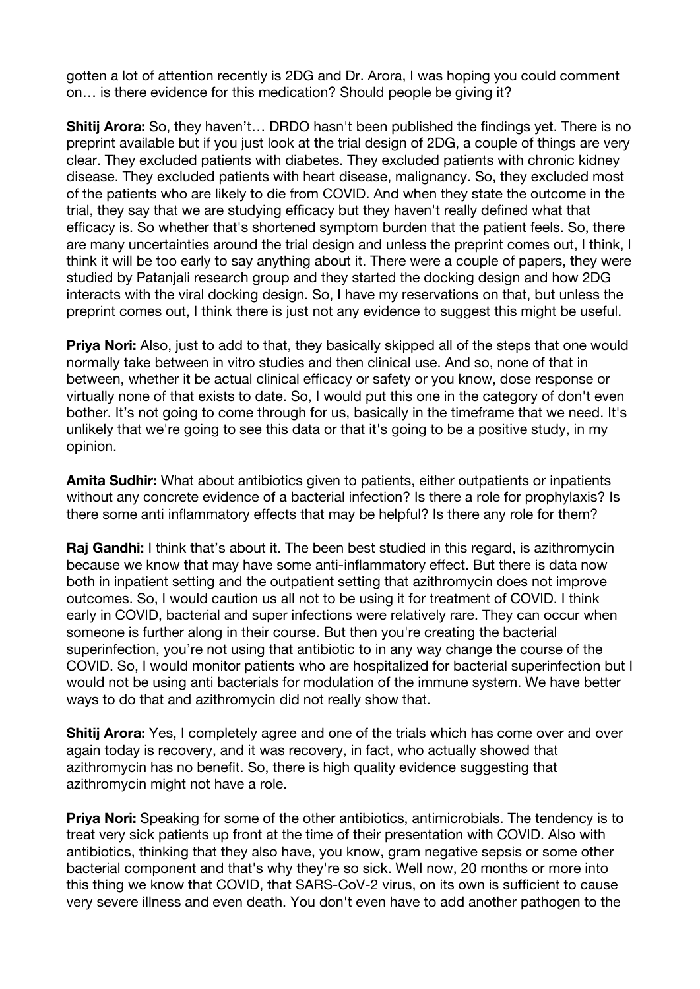gotten a lot of attention recently is 2DG and Dr. Arora, I was hoping you could comment on… is there evidence for this medication? Should people be giving it?

**Shitij Arora:** So, they haven't… DRDO hasn't been published the findings yet. There is no preprint available but if you just look at the trial design of 2DG, a couple of things are very clear. They excluded patients with diabetes. They excluded patients with chronic kidney disease. They excluded patients with heart disease, malignancy. So, they excluded most of the patients who are likely to die from COVID. And when they state the outcome in the trial, they say that we are studying efficacy but they haven't really defined what that efficacy is. So whether that's shortened symptom burden that the patient feels. So, there are many uncertainties around the trial design and unless the preprint comes out, I think, I think it will be too early to say anything about it. There were a couple of papers, they were studied by Patanjali research group and they started the docking design and how 2DG interacts with the viral docking design. So, I have my reservations on that, but unless the preprint comes out, I think there is just not any evidence to suggest this might be useful.

**Priya Nori:** Also, just to add to that, they basically skipped all of the steps that one would normally take between in vitro studies and then clinical use. And so, none of that in between, whether it be actual clinical efficacy or safety or you know, dose response or virtually none of that exists to date. So, I would put this one in the category of don't even bother. It's not going to come through for us, basically in the timeframe that we need. It's unlikely that we're going to see this data or that it's going to be a positive study, in my opinion.

**Amita Sudhir:** What about antibiotics given to patients, either outpatients or inpatients without any concrete evidence of a bacterial infection? Is there a role for prophylaxis? Is there some anti inflammatory effects that may be helpful? Is there any role for them?

**Raj Gandhi:** I think that's about it. The been best studied in this regard, is azithromycin because we know that may have some anti-inflammatory effect. But there is data now both in inpatient setting and the outpatient setting that azithromycin does not improve outcomes. So, I would caution us all not to be using it for treatment of COVID. I think early in COVID, bacterial and super infections were relatively rare. They can occur when someone is further along in their course. But then you're creating the bacterial superinfection, you're not using that antibiotic to in any way change the course of the COVID. So, I would monitor patients who are hospitalized for bacterial superinfection but I would not be using anti bacterials for modulation of the immune system. We have better ways to do that and azithromycin did not really show that.

**Shitij Arora:** Yes, I completely agree and one of the trials which has come over and over again today is recovery, and it was recovery, in fact, who actually showed that azithromycin has no benefit. So, there is high quality evidence suggesting that azithromycin might not have a role.

**Priya Nori:** Speaking for some of the other antibiotics, antimicrobials. The tendency is to treat very sick patients up front at the time of their presentation with COVID. Also with antibiotics, thinking that they also have, you know, gram negative sepsis or some other bacterial component and that's why they're so sick. Well now, 20 months or more into this thing we know that COVID, that SARS-CoV-2 virus, on its own is sufficient to cause very severe illness and even death. You don't even have to add another pathogen to the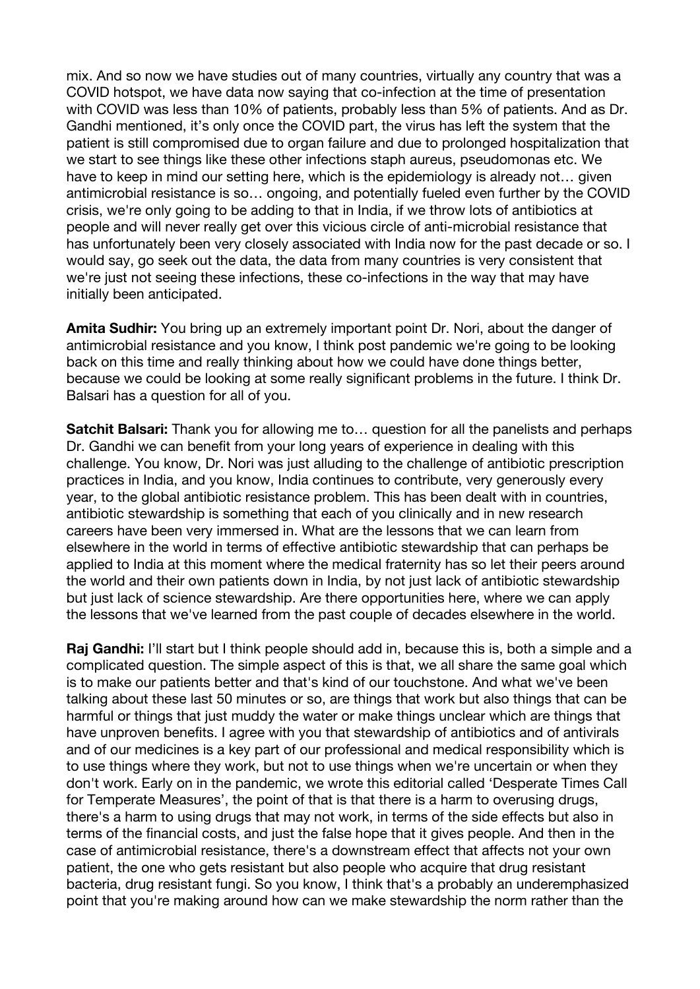mix. And so now we have studies out of many countries, virtually any country that was a COVID hotspot, we have data now saying that co-infection at the time of presentation with COVID was less than 10% of patients, probably less than 5% of patients. And as Dr. Gandhi mentioned, it's only once the COVID part, the virus has left the system that the patient is still compromised due to organ failure and due to prolonged hospitalization that we start to see things like these other infections staph aureus, pseudomonas etc. We have to keep in mind our setting here, which is the epidemiology is already not… given antimicrobial resistance is so… ongoing, and potentially fueled even further by the COVID crisis, we're only going to be adding to that in India, if we throw lots of antibiotics at people and will never really get over this vicious circle of anti-microbial resistance that has unfortunately been very closely associated with India now for the past decade or so. I would say, go seek out the data, the data from many countries is very consistent that we're just not seeing these infections, these co-infections in the way that may have initially been anticipated.

**Amita Sudhir:** You bring up an extremely important point Dr. Nori, about the danger of antimicrobial resistance and you know, I think post pandemic we're going to be looking back on this time and really thinking about how we could have done things better, because we could be looking at some really significant problems in the future. I think Dr. Balsari has a question for all of you.

**Satchit Balsari:** Thank you for allowing me to... question for all the panelists and perhaps Dr. Gandhi we can benefit from your long years of experience in dealing with this challenge. You know, Dr. Nori was just alluding to the challenge of antibiotic prescription practices in India, and you know, India continues to contribute, very generously every year, to the global antibiotic resistance problem. This has been dealt with in countries, antibiotic stewardship is something that each of you clinically and in new research careers have been very immersed in. What are the lessons that we can learn from elsewhere in the world in terms of effective antibiotic stewardship that can perhaps be applied to India at this moment where the medical fraternity has so let their peers around the world and their own patients down in India, by not just lack of antibiotic stewardship but just lack of science stewardship. Are there opportunities here, where we can apply the lessons that we've learned from the past couple of decades elsewhere in the world.

**Raj Gandhi:** I'll start but I think people should add in, because this is, both a simple and a complicated question. The simple aspect of this is that, we all share the same goal which is to make our patients better and that's kind of our touchstone. And what we've been talking about these last 50 minutes or so, are things that work but also things that can be harmful or things that just muddy the water or make things unclear which are things that have unproven benefits. I agree with you that stewardship of antibiotics and of antivirals and of our medicines is a key part of our professional and medical responsibility which is to use things where they work, but not to use things when we're uncertain or when they don't work. Early on in the pandemic, we wrote this editorial called 'Desperate Times Call for Temperate Measures', the point of that is that there is a harm to overusing drugs, there's a harm to using drugs that may not work, in terms of the side effects but also in terms of the financial costs, and just the false hope that it gives people. And then in the case of antimicrobial resistance, there's a downstream effect that affects not your own patient, the one who gets resistant but also people who acquire that drug resistant bacteria, drug resistant fungi. So you know, I think that's a probably an underemphasized point that you're making around how can we make stewardship the norm rather than the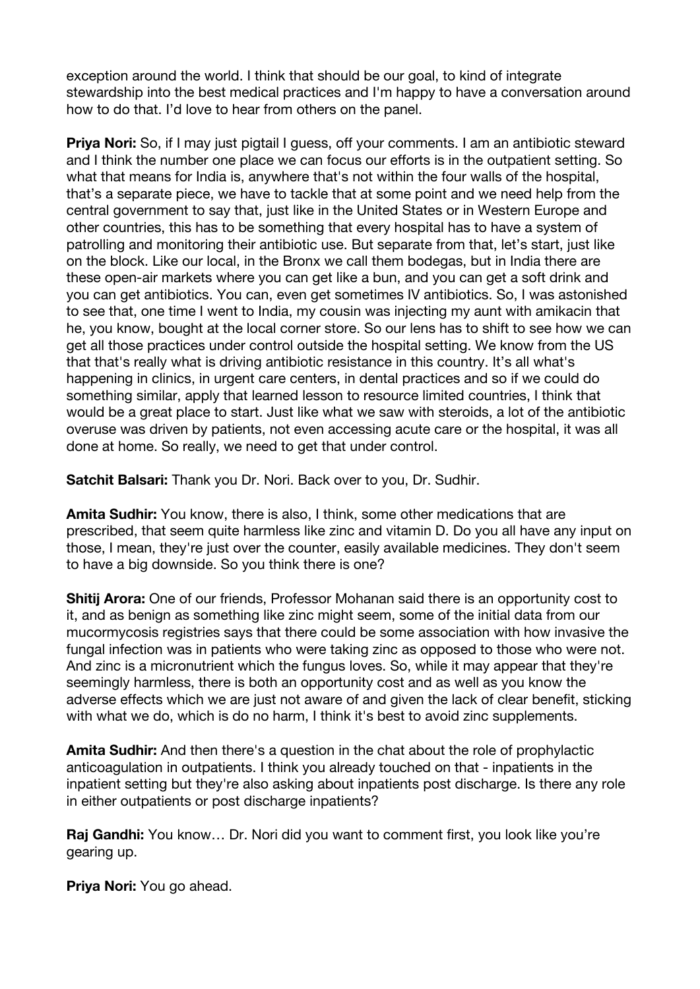exception around the world. I think that should be our goal, to kind of integrate stewardship into the best medical practices and I'm happy to have a conversation around how to do that. I'd love to hear from others on the panel.

**Priya Nori:** So, if I may just pigtail I guess, off your comments. I am an antibiotic steward and I think the number one place we can focus our efforts is in the outpatient setting. So what that means for India is, anywhere that's not within the four walls of the hospital. that's a separate piece, we have to tackle that at some point and we need help from the central government to say that, just like in the United States or in Western Europe and other countries, this has to be something that every hospital has to have a system of patrolling and monitoring their antibiotic use. But separate from that, let's start, just like on the block. Like our local, in the Bronx we call them bodegas, but in India there are these open-air markets where you can get like a bun, and you can get a soft drink and you can get antibiotics. You can, even get sometimes IV antibiotics. So, I was astonished to see that, one time I went to India, my cousin was injecting my aunt with amikacin that he, you know, bought at the local corner store. So our lens has to shift to see how we can get all those practices under control outside the hospital setting. We know from the US that that's really what is driving antibiotic resistance in this country. It's all what's happening in clinics, in urgent care centers, in dental practices and so if we could do something similar, apply that learned lesson to resource limited countries, I think that would be a great place to start. Just like what we saw with steroids, a lot of the antibiotic overuse was driven by patients, not even accessing acute care or the hospital, it was all done at home. So really, we need to get that under control.

**Satchit Balsari:** Thank you Dr. Nori. Back over to you, Dr. Sudhir.

**Amita Sudhir:** You know, there is also, I think, some other medications that are prescribed, that seem quite harmless like zinc and vitamin D. Do you all have any input on those, I mean, they're just over the counter, easily available medicines. They don't seem to have a big downside. So you think there is one?

**Shitij Arora:** One of our friends, Professor Mohanan said there is an opportunity cost to it, and as benign as something like zinc might seem, some of the initial data from our mucormycosis registries says that there could be some association with how invasive the fungal infection was in patients who were taking zinc as opposed to those who were not. And zinc is a micronutrient which the fungus loves. So, while it may appear that they're seemingly harmless, there is both an opportunity cost and as well as you know the adverse effects which we are just not aware of and given the lack of clear benefit, sticking with what we do, which is do no harm, I think it's best to avoid zinc supplements.

**Amita Sudhir:** And then there's a question in the chat about the role of prophylactic anticoagulation in outpatients. I think you already touched on that - inpatients in the inpatient setting but they're also asking about inpatients post discharge. Is there any role in either outpatients or post discharge inpatients?

**Raj Gandhi:** You know… Dr. Nori did you want to comment first, you look like you're gearing up.

**Priya Nori:** You go ahead.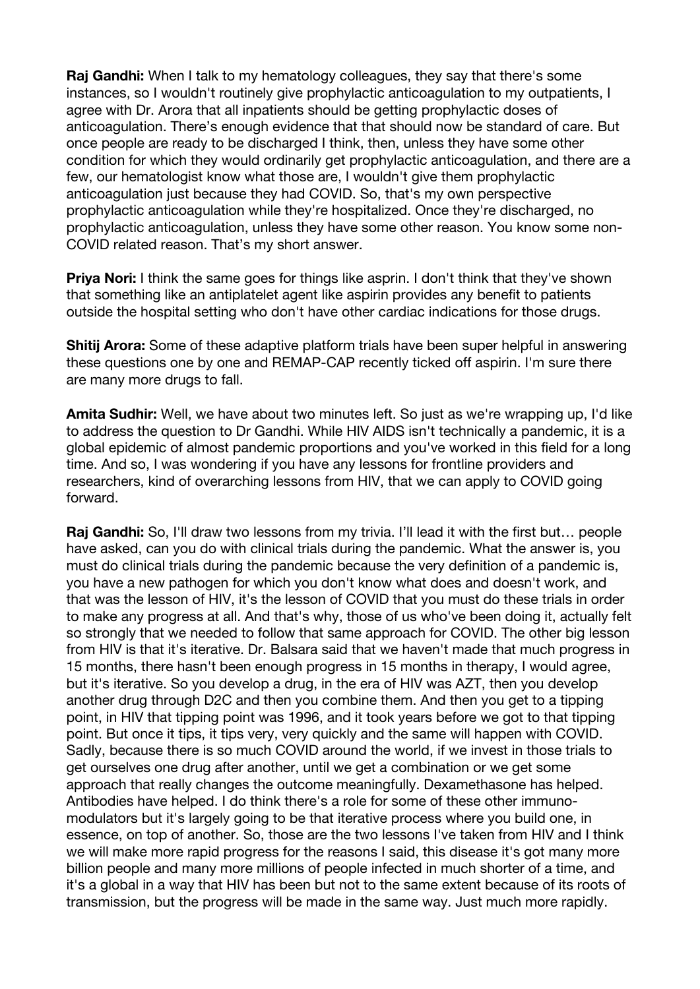**Raj Gandhi:** When I talk to my hematology colleagues, they say that there's some instances, so I wouldn't routinely give prophylactic anticoagulation to my outpatients, I agree with Dr. Arora that all inpatients should be getting prophylactic doses of anticoagulation. There's enough evidence that that should now be standard of care. But once people are ready to be discharged I think, then, unless they have some other condition for which they would ordinarily get prophylactic anticoagulation, and there are a few, our hematologist know what those are, I wouldn't give them prophylactic anticoagulation just because they had COVID. So, that's my own perspective prophylactic anticoagulation while they're hospitalized. Once they're discharged, no prophylactic anticoagulation, unless they have some other reason. You know some non-COVID related reason. That's my short answer.

**Priva Nori:** I think the same goes for things like asprin. I don't think that they've shown that something like an antiplatelet agent like aspirin provides any benefit to patients outside the hospital setting who don't have other cardiac indications for those drugs.

**Shitij Arora:** Some of these adaptive platform trials have been super helpful in answering these questions one by one and REMAP-CAP recently ticked off aspirin. I'm sure there are many more drugs to fall.

**Amita Sudhir:** Well, we have about two minutes left. So just as we're wrapping up, I'd like to address the question to Dr Gandhi. While HIV AIDS isn't technically a pandemic, it is a global epidemic of almost pandemic proportions and you've worked in this field for a long time. And so, I was wondering if you have any lessons for frontline providers and researchers, kind of overarching lessons from HIV, that we can apply to COVID going forward.

**Raj Gandhi:** So, I'll draw two lessons from my trivia. I'll lead it with the first but… people have asked, can you do with clinical trials during the pandemic. What the answer is, you must do clinical trials during the pandemic because the very definition of a pandemic is, you have a new pathogen for which you don't know what does and doesn't work, and that was the lesson of HIV, it's the lesson of COVID that you must do these trials in order to make any progress at all. And that's why, those of us who've been doing it, actually felt so strongly that we needed to follow that same approach for COVID. The other big lesson from HIV is that it's iterative. Dr. Balsara said that we haven't made that much progress in 15 months, there hasn't been enough progress in 15 months in therapy, I would agree, but it's iterative. So you develop a drug, in the era of HIV was AZT, then you develop another drug through D2C and then you combine them. And then you get to a tipping point, in HIV that tipping point was 1996, and it took years before we got to that tipping point. But once it tips, it tips very, very quickly and the same will happen with COVID. Sadly, because there is so much COVID around the world, if we invest in those trials to get ourselves one drug after another, until we get a combination or we get some approach that really changes the outcome meaningfully. Dexamethasone has helped. Antibodies have helped. I do think there's a role for some of these other immunomodulators but it's largely going to be that iterative process where you build one, in essence, on top of another. So, those are the two lessons I've taken from HIV and I think we will make more rapid progress for the reasons I said, this disease it's got many more billion people and many more millions of people infected in much shorter of a time, and it's a global in a way that HIV has been but not to the same extent because of its roots of transmission, but the progress will be made in the same way. Just much more rapidly.